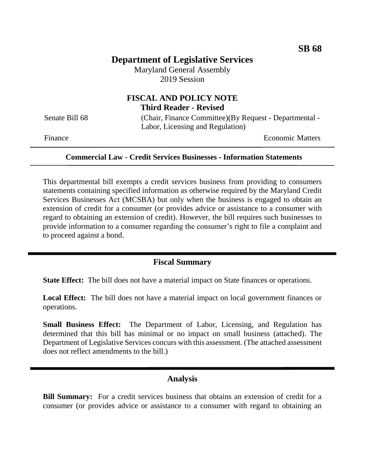# **Department of Legislative Services**

Maryland General Assembly 2019 Session

# **FISCAL AND POLICY NOTE Third Reader - Revised**

Senate Bill 68 (Chair, Finance Committee)(By Request - Departmental -Labor, Licensing and Regulation)

Finance **Exercise Economic Matters** 

#### **Commercial Law - Credit Services Businesses - Information Statements**

This departmental bill exempts a credit services business from providing to consumers statements containing specified information as otherwise required by the Maryland Credit Services Businesses Act (MCSBA) but only when the business is engaged to obtain an extension of credit for a consumer (or provides advice or assistance to a consumer with regard to obtaining an extension of credit). However, the bill requires such businesses to provide information to a consumer regarding the consumer's right to file a complaint and to proceed against a bond.

## **Fiscal Summary**

**State Effect:** The bill does not have a material impact on State finances or operations.

**Local Effect:** The bill does not have a material impact on local government finances or operations.

**Small Business Effect:** The Department of Labor, Licensing, and Regulation has determined that this bill has minimal or no impact on small business (attached). The Department of Legislative Services concurs with this assessment. (The attached assessment does not reflect amendments to the bill.)

## **Analysis**

**Bill Summary:** For a credit services business that obtains an extension of credit for a consumer (or provides advice or assistance to a consumer with regard to obtaining an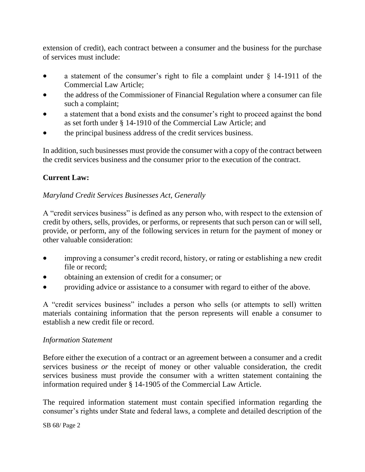extension of credit), each contract between a consumer and the business for the purchase of services must include:

- a statement of the consumer's right to file a complaint under § 14-1911 of the Commercial Law Article;
- the address of the Commissioner of Financial Regulation where a consumer can file such a complaint;
- a statement that a bond exists and the consumer's right to proceed against the bond as set forth under § 14-1910 of the Commercial Law Article; and
- the principal business address of the credit services business.

In addition, such businesses must provide the consumer with a copy of the contract between the credit services business and the consumer prior to the execution of the contract.

# **Current Law:**

## *Maryland Credit Services Businesses Act, Generally*

A "credit services business" is defined as any person who, with respect to the extension of credit by others, sells, provides, or performs, or represents that such person can or will sell, provide, or perform, any of the following services in return for the payment of money or other valuable consideration:

- improving a consumer's credit record, history, or rating or establishing a new credit file or record;
- obtaining an extension of credit for a consumer; or
- providing advice or assistance to a consumer with regard to either of the above.

A "credit services business" includes a person who sells (or attempts to sell) written materials containing information that the person represents will enable a consumer to establish a new credit file or record.

## *Information Statement*

Before either the execution of a contract or an agreement between a consumer and a credit services business *or* the receipt of money or other valuable consideration, the credit services business must provide the consumer with a written statement containing the information required under § 14-1905 of the Commercial Law Article.

The required information statement must contain specified information regarding the consumer's rights under State and federal laws, a complete and detailed description of the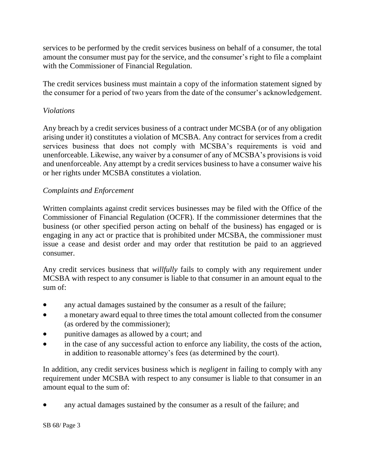services to be performed by the credit services business on behalf of a consumer, the total amount the consumer must pay for the service, and the consumer's right to file a complaint with the Commissioner of Financial Regulation.

The credit services business must maintain a copy of the information statement signed by the consumer for a period of two years from the date of the consumer's acknowledgement.

## *Violations*

Any breach by a credit services business of a contract under MCSBA (or of any obligation arising under it) constitutes a violation of MCSBA. Any contract for services from a credit services business that does not comply with MCSBA's requirements is void and unenforceable. Likewise, any waiver by a consumer of any of MCSBA's provisions is void and unenforceable. Any attempt by a credit services business to have a consumer waive his or her rights under MCSBA constitutes a violation.

## *Complaints and Enforcement*

Written complaints against credit services businesses may be filed with the Office of the Commissioner of Financial Regulation (OCFR). If the commissioner determines that the business (or other specified person acting on behalf of the business) has engaged or is engaging in any act or practice that is prohibited under MCSBA, the commissioner must issue a cease and desist order and may order that restitution be paid to an aggrieved consumer.

Any credit services business that *willfully* fails to comply with any requirement under MCSBA with respect to any consumer is liable to that consumer in an amount equal to the sum of:

- any actual damages sustained by the consumer as a result of the failure;
- a monetary award equal to three times the total amount collected from the consumer (as ordered by the commissioner);
- punitive damages as allowed by a court; and
- in the case of any successful action to enforce any liability, the costs of the action, in addition to reasonable attorney's fees (as determined by the court).

In addition, any credit services business which is *negligent* in failing to comply with any requirement under MCSBA with respect to any consumer is liable to that consumer in an amount equal to the sum of:

any actual damages sustained by the consumer as a result of the failure; and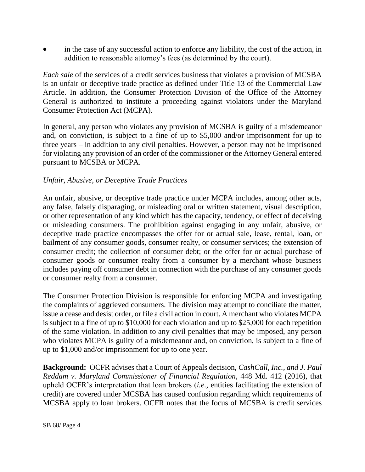in the case of any successful action to enforce any liability, the cost of the action, in addition to reasonable attorney's fees (as determined by the court).

*Each sale* of the services of a credit services business that violates a provision of MCSBA is an unfair or deceptive trade practice as defined under Title 13 of the Commercial Law Article. In addition, the Consumer Protection Division of the Office of the Attorney General is authorized to institute a proceeding against violators under the Maryland Consumer Protection Act (MCPA).

In general, any person who violates any provision of MCSBA is guilty of a misdemeanor and, on conviction, is subject to a fine of up to \$5,000 and/or imprisonment for up to three years – in addition to any civil penalties. However, a person may not be imprisoned for violating any provision of an order of the commissioner or the Attorney General entered pursuant to MCSBA or MCPA.

#### *Unfair, Abusive, or Deceptive Trade Practices*

An unfair, abusive, or deceptive trade practice under MCPA includes, among other acts, any false, falsely disparaging, or misleading oral or written statement, visual description, or other representation of any kind which has the capacity, tendency, or effect of deceiving or misleading consumers. The prohibition against engaging in any unfair, abusive, or deceptive trade practice encompasses the offer for or actual sale, lease, rental, loan, or bailment of any consumer goods, consumer realty, or consumer services; the extension of consumer credit; the collection of consumer debt; or the offer for or actual purchase of consumer goods or consumer realty from a consumer by a merchant whose business includes paying off consumer debt in connection with the purchase of any consumer goods or consumer realty from a consumer.

The Consumer Protection Division is responsible for enforcing MCPA and investigating the complaints of aggrieved consumers. The division may attempt to conciliate the matter, issue a cease and desist order, or file a civil action in court. A merchant who violates MCPA is subject to a fine of up to \$10,000 for each violation and up to \$25,000 for each repetition of the same violation. In addition to any civil penalties that may be imposed, any person who violates MCPA is guilty of a misdemeanor and, on conviction, is subject to a fine of up to \$1,000 and/or imprisonment for up to one year.

**Background:** OCFR advises that a Court of Appeals decision, *CashCall, Inc., and J. Paul Reddam v. Maryland Commissioner of Financial Regulation*, 448 Md. 412 (2016), that upheld OCFR's interpretation that loan brokers (*i.e.*, entities facilitating the extension of credit) are covered under MCSBA has caused confusion regarding which requirements of MCSBA apply to loan brokers. OCFR notes that the focus of MCSBA is credit services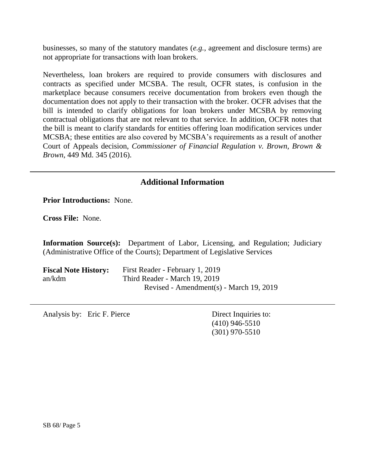businesses, so many of the statutory mandates (*e.g.*, agreement and disclosure terms) are not appropriate for transactions with loan brokers.

Nevertheless, loan brokers are required to provide consumers with disclosures and contracts as specified under MCSBA. The result, OCFR states, is confusion in the marketplace because consumers receive documentation from brokers even though the documentation does not apply to their transaction with the broker. OCFR advises that the bill is intended to clarify obligations for loan brokers under MCSBA by removing contractual obligations that are not relevant to that service. In addition, OCFR notes that the bill is meant to clarify standards for entities offering loan modification services under MCSBA; these entities are also covered by MCSBA's requirements as a result of another Court of Appeals decision, *Commissioner of Financial Regulation v. Brown, Brown & Brown*, 449 Md. 345 (2016).

# **Additional Information**

**Prior Introductions:** None.

**Cross File:** None.

**Information Source(s):** Department of Labor, Licensing, and Regulation; Judiciary (Administrative Office of the Courts); Department of Legislative Services

| <b>Fiscal Note History:</b> | First Reader - February 1, 2019         |
|-----------------------------|-----------------------------------------|
| an/kdm                      | Third Reader - March 19, 2019           |
|                             | Revised - Amendment(s) - March 19, 2019 |

Analysis by: Eric F. Pierce Direct Inquiries to:

(410) 946-5510 (301) 970-5510